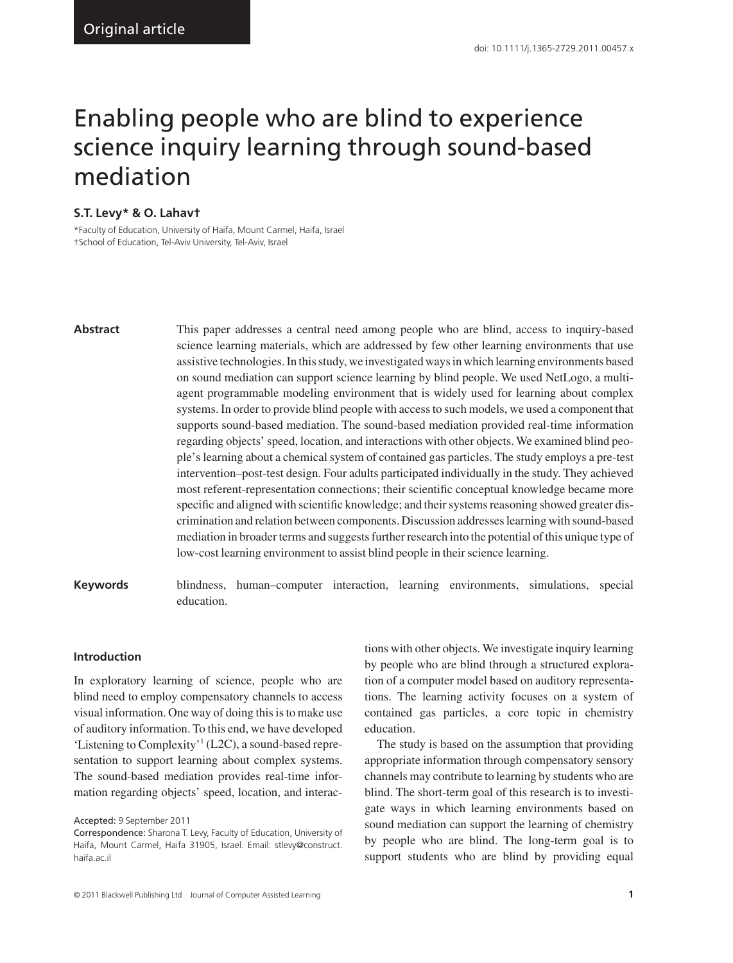# Enabling people who are blind to experience science inquiry learning through sound-based mediation

# **S.T. Levy\* & O. Lahav†**

\*Faculty of Education, University of Haifa, Mount Carmel, Haifa, Israel †School of Education, Tel-Aviv University, Tel-Aviv, Israel

**Abstract** This paper addresses a central need among people who are blind, access to inquiry-based science learning materials, which are addressed by few other learning environments that use assistive technologies. In this study, we investigated ways in which learning environments based on sound mediation can support science learning by blind people. We used NetLogo, a multiagent programmable modeling environment that is widely used for learning about complex systems. In order to provide blind people with access to such models, we used a component that supports sound-based mediation. The sound-based mediation provided real-time information regarding objects' speed, location, and interactions with other objects.We examined blind people's learning about a chemical system of contained gas particles. The study employs a pre-test intervention–post-test design. Four adults participated individually in the study. They achieved most referent-representation connections; their scientific conceptual knowledge became more specific and aligned with scientific knowledge; and their systems reasoning showed greater discrimination and relation between components. Discussion addresses learning with sound-based mediation in broader terms and suggests further research into the potential of this unique type of low-cost learning environment to assist blind people in their science learning.

**Keywords** blindness, human–computer interaction, learning environments, simulations, special education.

# **Introduction**

In exploratory learning of science, people who are blind need to employ compensatory channels to access visual information. One way of doing this is to make use of auditory information. To this end, we have developed 'Listening to Complexity'1 (L2C), a sound-based representation to support learning about complex systems. The sound-based mediation provides real-time information regarding objects' speed, location, and interactions with other objects. We investigate inquiry learning by people who are blind through a structured exploration of a computer model based on auditory representations. The learning activity focuses on a system of contained gas particles, a core topic in chemistry education.

The study is based on the assumption that providing appropriate information through compensatory sensory channels may contribute to learning by students who are blind. The short-term goal of this research is to investigate ways in which learning environments based on sound mediation can support the learning of chemistry by people who are blind. The long-term goal is to support students who are blind by providing equal

Accepted: 9 September 2011

Correspondence: Sharona T. Levy, Faculty of Education, University of Haifa, Mount Carmel, Haifa 31905, Israel. Email: stlevy@construct. haifa.ac.il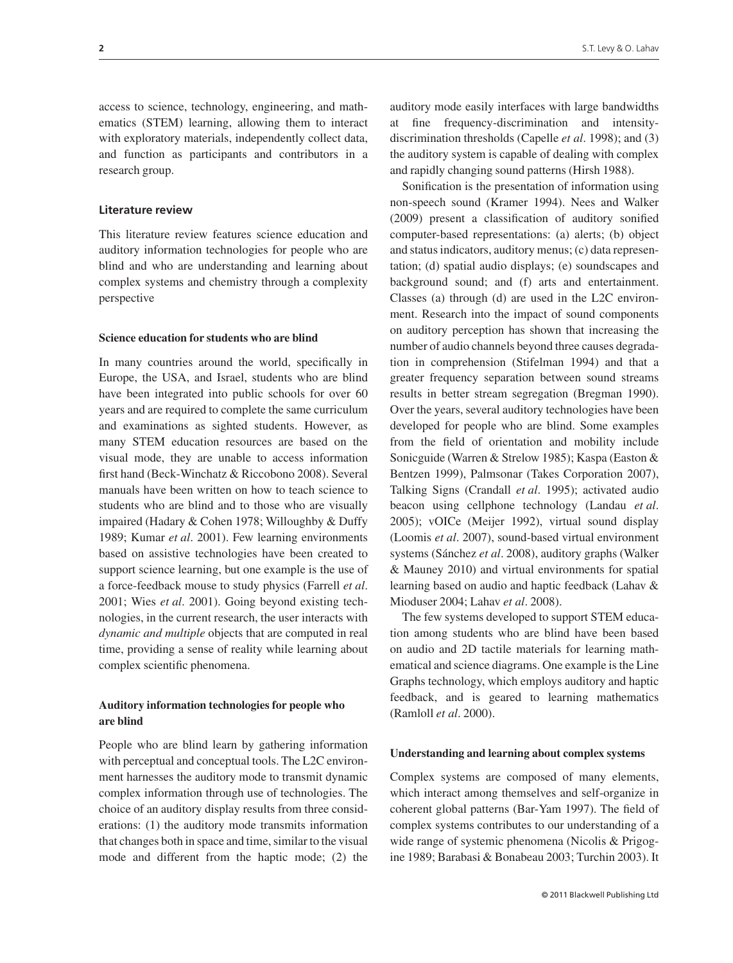access to science, technology, engineering, and mathematics (STEM) learning, allowing them to interact with exploratory materials, independently collect data, and function as participants and contributors in a research group.

# **Literature review**

This literature review features science education and auditory information technologies for people who are blind and who are understanding and learning about complex systems and chemistry through a complexity perspective

# **Science education for students who are blind**

In many countries around the world, specifically in Europe, the USA, and Israel, students who are blind have been integrated into public schools for over 60 years and are required to complete the same curriculum and examinations as sighted students. However, as many STEM education resources are based on the visual mode, they are unable to access information first hand (Beck-Winchatz & Riccobono 2008). Several manuals have been written on how to teach science to students who are blind and to those who are visually impaired (Hadary & Cohen 1978; Willoughby & Duffy 1989; Kumar *et al*. 2001). Few learning environments based on assistive technologies have been created to support science learning, but one example is the use of a force-feedback mouse to study physics (Farrell *et al*. 2001; Wies *et al*. 2001). Going beyond existing technologies, in the current research, the user interacts with *dynamic and multiple* objects that are computed in real time, providing a sense of reality while learning about complex scientific phenomena.

# **Auditory information technologies for people who are blind**

People who are blind learn by gathering information with perceptual and conceptual tools. The L2C environment harnesses the auditory mode to transmit dynamic complex information through use of technologies. The choice of an auditory display results from three considerations: (1) the auditory mode transmits information that changes both in space and time, similar to the visual mode and different from the haptic mode; (2) the

auditory mode easily interfaces with large bandwidths at fine frequency-discrimination and intensitydiscrimination thresholds (Capelle *et al*. 1998); and (3) the auditory system is capable of dealing with complex and rapidly changing sound patterns (Hirsh 1988).

Sonification is the presentation of information using non-speech sound (Kramer 1994). Nees and Walker (2009) present a classification of auditory sonified computer-based representations: (a) alerts; (b) object and status indicators, auditory menus; (c) data representation; (d) spatial audio displays; (e) soundscapes and background sound; and (f) arts and entertainment. Classes (a) through (d) are used in the L2C environment. Research into the impact of sound components on auditory perception has shown that increasing the number of audio channels beyond three causes degradation in comprehension (Stifelman 1994) and that a greater frequency separation between sound streams results in better stream segregation (Bregman 1990). Over the years, several auditory technologies have been developed for people who are blind. Some examples from the field of orientation and mobility include Sonicguide (Warren & Strelow 1985); Kaspa (Easton & Bentzen 1999), Palmsonar (Takes Corporation 2007), Talking Signs (Crandall *et al*. 1995); activated audio beacon using cellphone technology (Landau *et al*. 2005); vOICe (Meijer 1992), virtual sound display (Loomis *et al*. 2007), sound-based virtual environment systems (Sánchez *et al*. 2008), auditory graphs (Walker & Mauney 2010) and virtual environments for spatial learning based on audio and haptic feedback (Lahav & Mioduser 2004; Lahav *et al*. 2008).

The few systems developed to support STEM education among students who are blind have been based on audio and 2D tactile materials for learning mathematical and science diagrams. One example is the Line Graphs technology, which employs auditory and haptic feedback, and is geared to learning mathematics (Ramloll *et al*. 2000).

#### **Understanding and learning about complex systems**

Complex systems are composed of many elements, which interact among themselves and self-organize in coherent global patterns (Bar-Yam 1997). The field of complex systems contributes to our understanding of a wide range of systemic phenomena (Nicolis & Prigogine 1989; Barabasi & Bonabeau 2003; Turchin 2003). It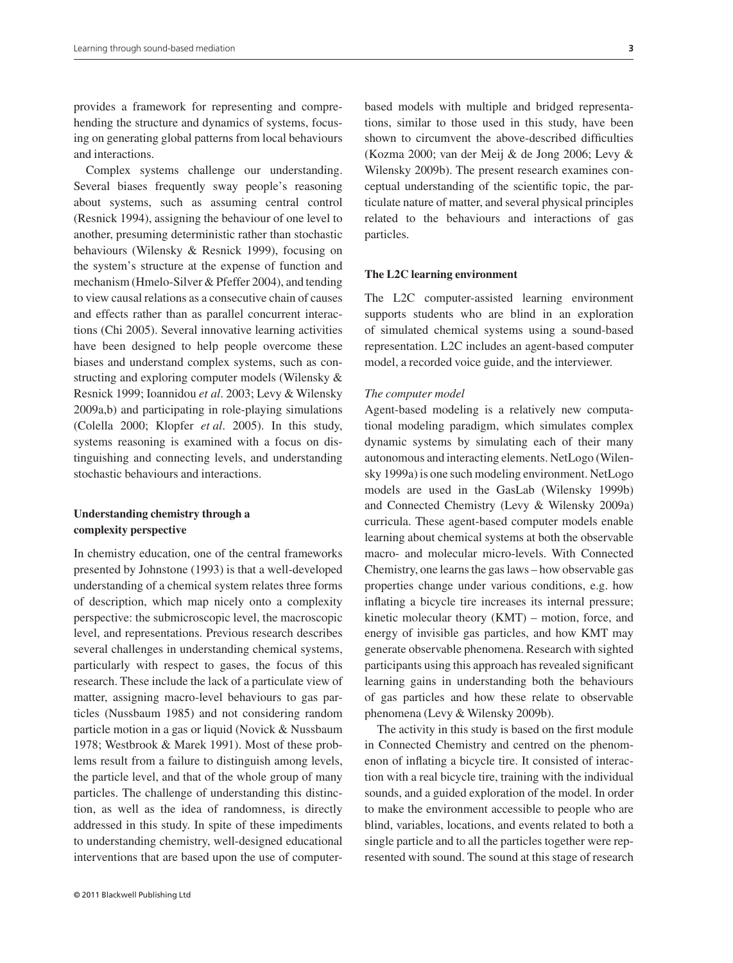provides a framework for representing and comprehending the structure and dynamics of systems, focusing on generating global patterns from local behaviours and interactions.

Complex systems challenge our understanding. Several biases frequently sway people's reasoning about systems, such as assuming central control (Resnick 1994), assigning the behaviour of one level to another, presuming deterministic rather than stochastic behaviours (Wilensky & Resnick 1999), focusing on the system's structure at the expense of function and mechanism (Hmelo-Silver & Pfeffer 2004), and tending to view causal relations as a consecutive chain of causes and effects rather than as parallel concurrent interactions (Chi 2005). Several innovative learning activities have been designed to help people overcome these biases and understand complex systems, such as constructing and exploring computer models (Wilensky & Resnick 1999; Ioannidou *et al*. 2003; Levy & Wilensky 2009a,b) and participating in role-playing simulations (Colella 2000; Klopfer *et al*. 2005). In this study, systems reasoning is examined with a focus on distinguishing and connecting levels, and understanding stochastic behaviours and interactions.

# **Understanding chemistry through a complexity perspective**

In chemistry education, one of the central frameworks presented by Johnstone (1993) is that a well-developed understanding of a chemical system relates three forms of description, which map nicely onto a complexity perspective: the submicroscopic level, the macroscopic level, and representations. Previous research describes several challenges in understanding chemical systems, particularly with respect to gases, the focus of this research. These include the lack of a particulate view of matter, assigning macro-level behaviours to gas particles (Nussbaum 1985) and not considering random particle motion in a gas or liquid (Novick & Nussbaum 1978; Westbrook & Marek 1991). Most of these problems result from a failure to distinguish among levels, the particle level, and that of the whole group of many particles. The challenge of understanding this distinction, as well as the idea of randomness, is directly addressed in this study. In spite of these impediments to understanding chemistry, well-designed educational interventions that are based upon the use of computerbased models with multiple and bridged representations, similar to those used in this study, have been shown to circumvent the above-described difficulties (Kozma 2000; van der Meij & de Jong 2006; Levy & Wilensky 2009b). The present research examines conceptual understanding of the scientific topic, the particulate nature of matter, and several physical principles related to the behaviours and interactions of gas particles.

# **The L2C learning environment**

The L2C computer-assisted learning environment supports students who are blind in an exploration of simulated chemical systems using a sound-based representation. L2C includes an agent-based computer model, a recorded voice guide, and the interviewer.

#### *The computer model*

Agent-based modeling is a relatively new computational modeling paradigm, which simulates complex dynamic systems by simulating each of their many autonomous and interacting elements. NetLogo (Wilensky 1999a) is one such modeling environment. NetLogo models are used in the GasLab (Wilensky 1999b) and Connected Chemistry (Levy & Wilensky 2009a) curricula. These agent-based computer models enable learning about chemical systems at both the observable macro- and molecular micro-levels. With Connected Chemistry, one learns the gas laws – how observable gas properties change under various conditions, e.g. how inflating a bicycle tire increases its internal pressure; kinetic molecular theory (KMT) – motion, force, and energy of invisible gas particles, and how KMT may generate observable phenomena. Research with sighted participants using this approach has revealed significant learning gains in understanding both the behaviours of gas particles and how these relate to observable phenomena (Levy & Wilensky 2009b).

The activity in this study is based on the first module in Connected Chemistry and centred on the phenomenon of inflating a bicycle tire. It consisted of interaction with a real bicycle tire, training with the individual sounds, and a guided exploration of the model. In order to make the environment accessible to people who are blind, variables, locations, and events related to both a single particle and to all the particles together were represented with sound. The sound at this stage of research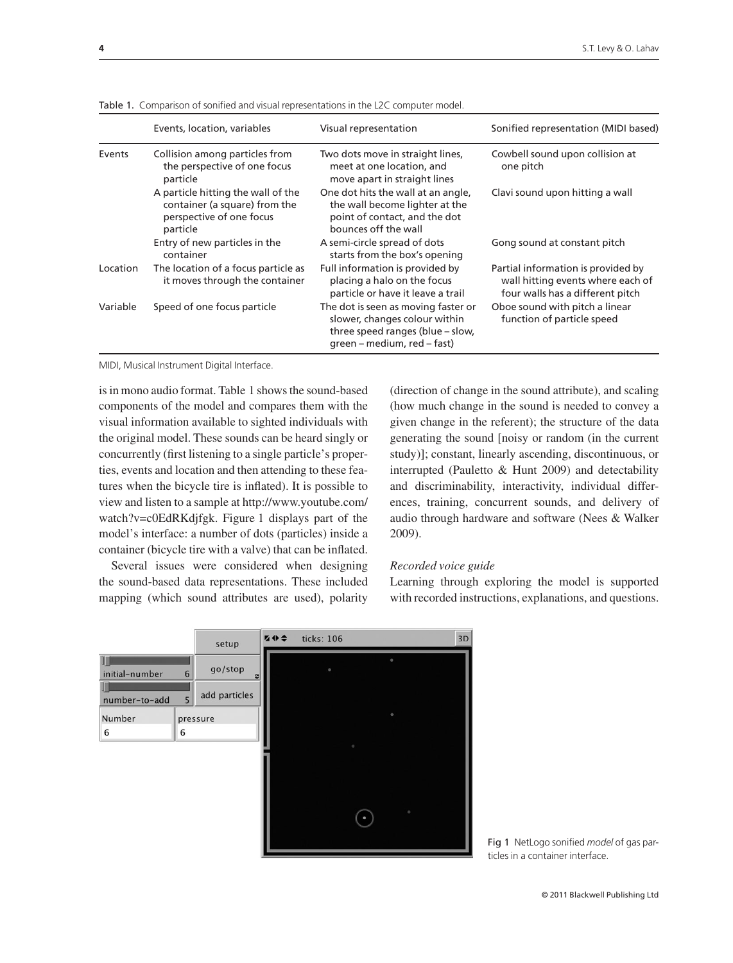|          | Events, location, variables                                                                                 | Visual representation                                                                                                                   | Sonified representation (MIDI based)                                                                        |
|----------|-------------------------------------------------------------------------------------------------------------|-----------------------------------------------------------------------------------------------------------------------------------------|-------------------------------------------------------------------------------------------------------------|
| Events   | Collision among particles from<br>the perspective of one focus<br>particle                                  | Two dots move in straight lines,<br>meet at one location, and<br>move apart in straight lines                                           | Cowbell sound upon collision at<br>one pitch                                                                |
|          | A particle hitting the wall of the<br>container (a square) from the<br>perspective of one focus<br>particle | One dot hits the wall at an angle,<br>the wall become lighter at the<br>point of contact, and the dot<br>bounces off the wall           | Clavi sound upon hitting a wall                                                                             |
|          | Entry of new particles in the<br>container                                                                  | A semi-circle spread of dots<br>starts from the box's opening                                                                           | Gong sound at constant pitch                                                                                |
| Location | The location of a focus particle as<br>it moves through the container                                       | Full information is provided by<br>placing a halo on the focus<br>particle or have it leave a trail                                     | Partial information is provided by<br>wall hitting events where each of<br>four walls has a different pitch |
| Variable | Speed of one focus particle                                                                                 | The dot is seen as moving faster or<br>slower, changes colour within<br>three speed ranges (blue - slow,<br>green – medium, red – fast) | Oboe sound with pitch a linear<br>function of particle speed                                                |

Table 1. Comparison of sonified and visual representations in the L2C computer model.

MIDI, Musical Instrument Digital Interface.

is in mono audio format. Table 1 shows the sound-based components of the model and compares them with the visual information available to sighted individuals with the original model. These sounds can be heard singly or concurrently (first listening to a single particle's properties, events and location and then attending to these features when the bicycle tire is inflated). It is possible to view and listen to a sample at http://www.youtube.com/ watch?v=c0EdRKdjfgk. Figure 1 displays part of the model's interface: a number of dots (particles) inside a container (bicycle tire with a valve) that can be inflated.

Several issues were considered when designing the sound-based data representations. These included mapping (which sound attributes are used), polarity (direction of change in the sound attribute), and scaling (how much change in the sound is needed to convey a given change in the referent); the structure of the data generating the sound [noisy or random (in the current study)]; constant, linearly ascending, discontinuous, or interrupted (Pauletto & Hunt 2009) and detectability and discriminability, interactivity, individual differences, training, concurrent sounds, and delivery of audio through hardware and software (Nees & Walker 2009).

#### *Recorded voice guide*

Learning through exploring the model is supported with recorded instructions, explanations, and questions.

|                                 |        | setup                         | 四业会 | ticks: 106 |         |   | 3D |
|---------------------------------|--------|-------------------------------|-----|------------|---------|---|----|
| initial-number<br>number-to-add | 6<br>5 | go/stop<br>ø<br>add particles |     |            | ٠       |   |    |
| Number<br>6                     | 6      | pressure                      |     |            | ٠       |   |    |
|                                 |        |                               |     |            | $\circ$ |   |    |
|                                 |        |                               |     |            |         |   |    |
|                                 |        |                               |     |            |         | ö |    |
|                                 |        |                               |     |            |         |   |    |

Fig 1 NetLogo sonified *model* of gas particles in a container interface.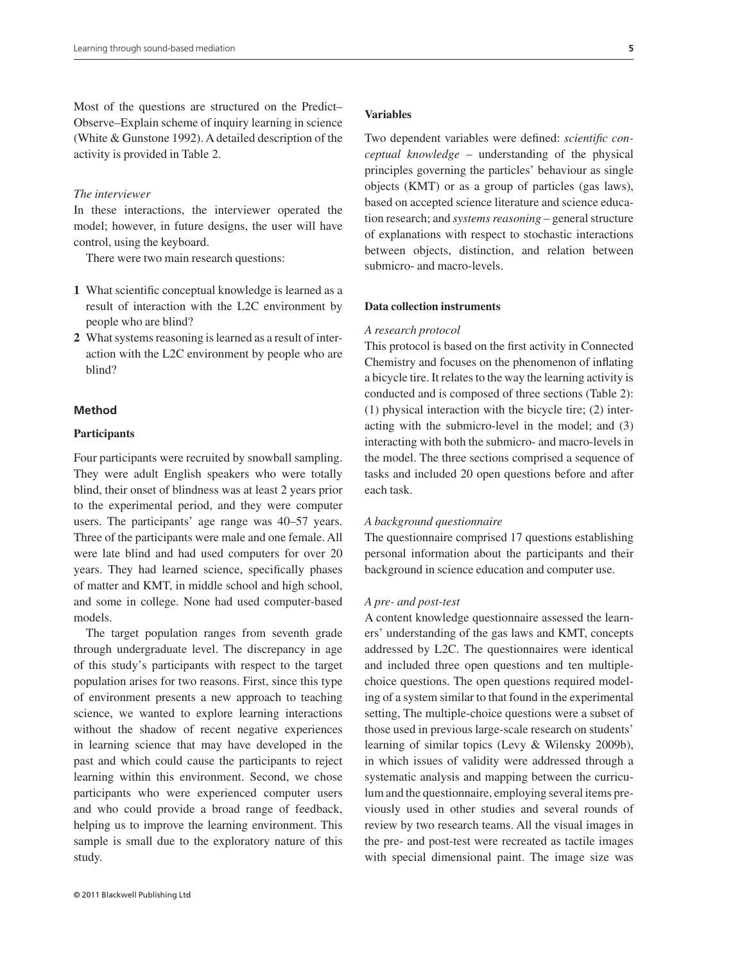Most of the questions are structured on the Predict– Observe–Explain scheme of inquiry learning in science (White & Gunstone 1992). A detailed description of the activity is provided in Table 2.

#### *The interviewer*

In these interactions, the interviewer operated the model; however, in future designs, the user will have control, using the keyboard.

There were two main research questions:

- **1** What scientific conceptual knowledge is learned as a result of interaction with the L2C environment by people who are blind?
- **2** What systems reasoning is learned as a result of interaction with the L2C environment by people who are blind?

# **Method**

# **Participants**

Four participants were recruited by snowball sampling. They were adult English speakers who were totally blind, their onset of blindness was at least 2 years prior to the experimental period, and they were computer users. The participants' age range was 40–57 years. Three of the participants were male and one female. All were late blind and had used computers for over 20 years. They had learned science, specifically phases of matter and KMT, in middle school and high school, and some in college. None had used computer-based models.

The target population ranges from seventh grade through undergraduate level. The discrepancy in age of this study's participants with respect to the target population arises for two reasons. First, since this type of environment presents a new approach to teaching science, we wanted to explore learning interactions without the shadow of recent negative experiences in learning science that may have developed in the past and which could cause the participants to reject learning within this environment. Second, we chose participants who were experienced computer users and who could provide a broad range of feedback, helping us to improve the learning environment. This sample is small due to the exploratory nature of this study.

# **Variables**

Two dependent variables were defined: *scientific conceptual knowledge* – understanding of the physical principles governing the particles' behaviour as single objects (KMT) or as a group of particles (gas laws), based on accepted science literature and science education research; and *systems reasoning* – general structure of explanations with respect to stochastic interactions between objects, distinction, and relation between submicro- and macro-levels.

# **Data collection instruments**

#### *A research protocol*

This protocol is based on the first activity in Connected Chemistry and focuses on the phenomenon of inflating a bicycle tire. It relates to the way the learning activity is conducted and is composed of three sections (Table 2): (1) physical interaction with the bicycle tire; (2) interacting with the submicro-level in the model; and (3) interacting with both the submicro- and macro-levels in the model. The three sections comprised a sequence of tasks and included 20 open questions before and after each task.

#### *A background questionnaire*

The questionnaire comprised 17 questions establishing personal information about the participants and their background in science education and computer use.

#### *A pre- and post-test*

A content knowledge questionnaire assessed the learners' understanding of the gas laws and KMT, concepts addressed by L2C. The questionnaires were identical and included three open questions and ten multiplechoice questions. The open questions required modeling of a system similar to that found in the experimental setting, The multiple-choice questions were a subset of those used in previous large-scale research on students' learning of similar topics (Levy & Wilensky 2009b), in which issues of validity were addressed through a systematic analysis and mapping between the curriculum and the questionnaire, employing several items previously used in other studies and several rounds of review by two research teams. All the visual images in the pre- and post-test were recreated as tactile images with special dimensional paint. The image size was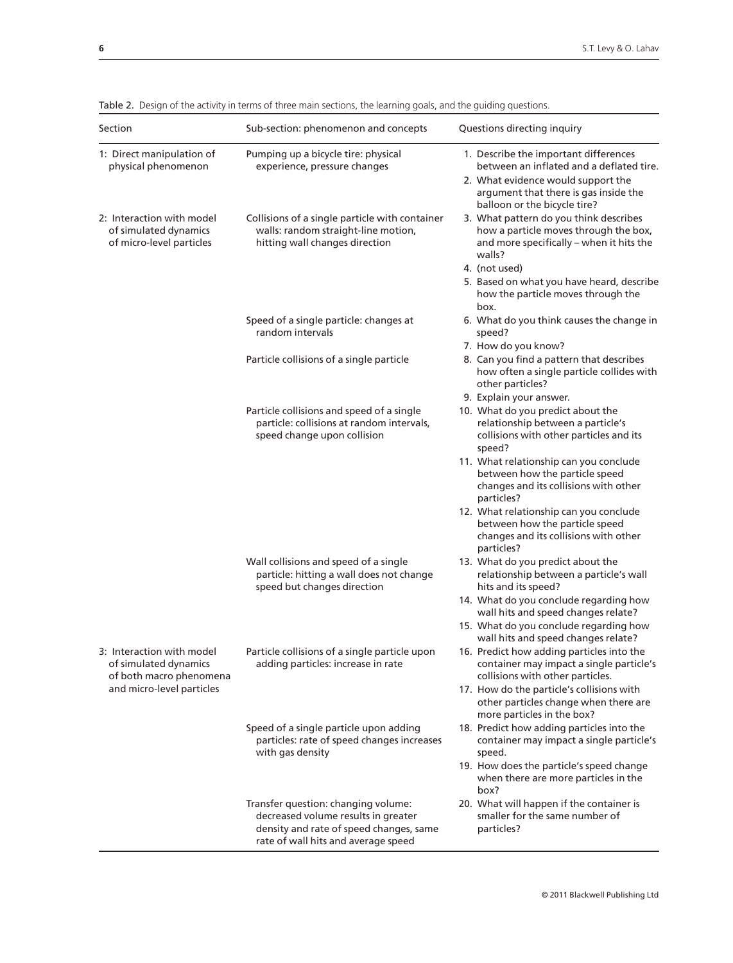| Section                                                                        | Sub-section: phenomenon and concepts                                                                                                                         | Questions directing inquiry                                                                                                                                                                      |  |  |
|--------------------------------------------------------------------------------|--------------------------------------------------------------------------------------------------------------------------------------------------------------|--------------------------------------------------------------------------------------------------------------------------------------------------------------------------------------------------|--|--|
| 1: Direct manipulation of<br>physical phenomenon                               | Pumping up a bicycle tire: physical<br>experience, pressure changes                                                                                          | 1. Describe the important differences<br>between an inflated and a deflated tire.<br>2. What evidence would support the<br>argument that there is gas inside the<br>balloon or the bicycle tire? |  |  |
| 2: Interaction with model<br>of simulated dynamics<br>of micro-level particles | Collisions of a single particle with container<br>walls: random straight-line motion,<br>hitting wall changes direction                                      | 3. What pattern do you think describes<br>how a particle moves through the box,<br>and more specifically - when it hits the<br>walls?<br>4. (not used)                                           |  |  |
|                                                                                |                                                                                                                                                              | 5. Based on what you have heard, describe<br>how the particle moves through the<br>box.                                                                                                          |  |  |
|                                                                                | Speed of a single particle: changes at<br>random intervals                                                                                                   | 6. What do you think causes the change in<br>speed?<br>7. How do you know?                                                                                                                       |  |  |
|                                                                                | Particle collisions of a single particle                                                                                                                     | 8. Can you find a pattern that describes<br>how often a single particle collides with<br>other particles?                                                                                        |  |  |
|                                                                                | Particle collisions and speed of a single<br>particle: collisions at random intervals,<br>speed change upon collision                                        | 9. Explain your answer.<br>10. What do you predict about the<br>relationship between a particle's<br>collisions with other particles and its<br>speed?                                           |  |  |
|                                                                                |                                                                                                                                                              | 11. What relationship can you conclude<br>between how the particle speed<br>changes and its collisions with other<br>particles?                                                                  |  |  |
|                                                                                |                                                                                                                                                              | 12. What relationship can you conclude<br>between how the particle speed<br>changes and its collisions with other<br>particles?                                                                  |  |  |
|                                                                                | Wall collisions and speed of a single<br>particle: hitting a wall does not change<br>speed but changes direction                                             | 13. What do you predict about the<br>relationship between a particle's wall<br>hits and its speed?                                                                                               |  |  |
|                                                                                |                                                                                                                                                              | 14. What do you conclude regarding how<br>wall hits and speed changes relate?<br>15. What do you conclude regarding how                                                                          |  |  |
| 3: Interaction with model                                                      | Particle collisions of a single particle upon                                                                                                                | wall hits and speed changes relate?<br>16. Predict how adding particles into the                                                                                                                 |  |  |
| of simulated dynamics<br>of both macro phenomena<br>and micro-level particles  | adding particles: increase in rate                                                                                                                           | container may impact a single particle's<br>collisions with other particles.<br>17. How do the particle's collisions with                                                                        |  |  |
|                                                                                |                                                                                                                                                              | other particles change when there are<br>more particles in the box?<br>18. Predict how adding particles into the                                                                                 |  |  |
|                                                                                | Speed of a single particle upon adding<br>particles: rate of speed changes increases<br>with gas density                                                     | container may impact a single particle's<br>speed.                                                                                                                                               |  |  |
|                                                                                |                                                                                                                                                              | 19. How does the particle's speed change<br>when there are more particles in the<br>box?                                                                                                         |  |  |
|                                                                                | Transfer question: changing volume:<br>decreased volume results in greater<br>density and rate of speed changes, same<br>rate of wall hits and average speed | 20. What will happen if the container is<br>smaller for the same number of<br>particles?                                                                                                         |  |  |

Table 2. Design of the activity in terms of three main sections, the learning goals, and the guiding questions.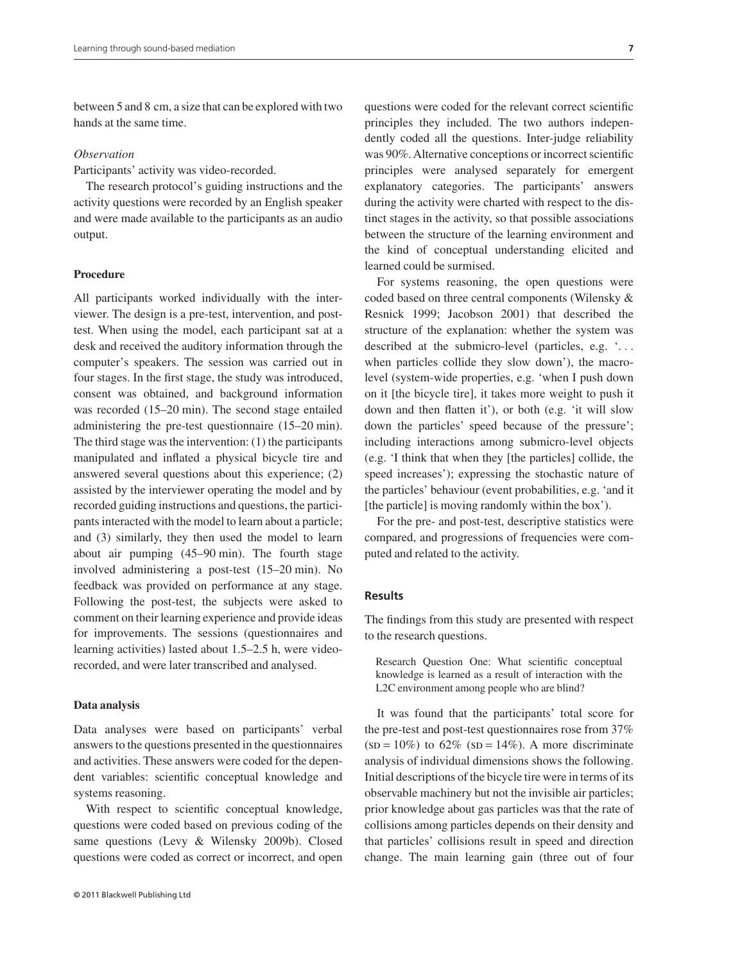between 5 and 8 cm, a size that can be explored with two hands at the same time.

# *Observation*

Participants' activity was video-recorded.

The research protocol's guiding instructions and the activity questions were recorded by an English speaker and were made available to the participants as an audio output.

### **Procedure**

All participants worked individually with the interviewer. The design is a pre-test, intervention, and posttest. When using the model, each participant sat at a desk and received the auditory information through the computer's speakers. The session was carried out in four stages. In the first stage, the study was introduced, consent was obtained, and background information was recorded (15–20 min). The second stage entailed administering the pre-test questionnaire (15–20 min). The third stage was the intervention: (1) the participants manipulated and inflated a physical bicycle tire and answered several questions about this experience; (2) assisted by the interviewer operating the model and by recorded guiding instructions and questions, the participants interacted with the model to learn about a particle; and (3) similarly, they then used the model to learn about air pumping (45–90 min). The fourth stage involved administering a post-test (15–20 min). No feedback was provided on performance at any stage. Following the post-test, the subjects were asked to comment on their learning experience and provide ideas for improvements. The sessions (questionnaires and learning activities) lasted about 1.5–2.5 h, were videorecorded, and were later transcribed and analysed.

#### **Data analysis**

Data analyses were based on participants' verbal answers to the questions presented in the questionnaires and activities. These answers were coded for the dependent variables: scientific conceptual knowledge and systems reasoning.

With respect to scientific conceptual knowledge, questions were coded based on previous coding of the same questions (Levy & Wilensky 2009b). Closed questions were coded as correct or incorrect, and open questions were coded for the relevant correct scientific principles they included. The two authors independently coded all the questions. Inter-judge reliability was 90%. Alternative conceptions or incorrect scientific principles were analysed separately for emergent explanatory categories. The participants' answers during the activity were charted with respect to the distinct stages in the activity, so that possible associations between the structure of the learning environment and the kind of conceptual understanding elicited and learned could be surmised.

For systems reasoning, the open questions were coded based on three central components (Wilensky & Resnick 1999; Jacobson 2001) that described the structure of the explanation: whether the system was described at the submicro-level (particles, e.g. '... when particles collide they slow down'), the macrolevel (system-wide properties, e.g. 'when I push down on it [the bicycle tire], it takes more weight to push it down and then flatten it'), or both (e.g. 'it will slow down the particles' speed because of the pressure'; including interactions among submicro-level objects (e.g. 'I think that when they [the particles] collide, the speed increases'); expressing the stochastic nature of the particles' behaviour (event probabilities, e.g. 'and it [the particle] is moving randomly within the box').

For the pre- and post-test, descriptive statistics were compared, and progressions of frequencies were computed and related to the activity.

# **Results**

The findings from this study are presented with respect to the research questions.

Research Question One: What scientific conceptual knowledge is learned as a result of interaction with the L2C environment among people who are blind?

It was found that the participants' total score for the pre-test and post-test questionnaires rose from 37%  $(SD = 10\%)$  to 62%  $(SD = 14\%)$ . A more discriminate analysis of individual dimensions shows the following. Initial descriptions of the bicycle tire were in terms of its observable machinery but not the invisible air particles; prior knowledge about gas particles was that the rate of collisions among particles depends on their density and that particles' collisions result in speed and direction change. The main learning gain (three out of four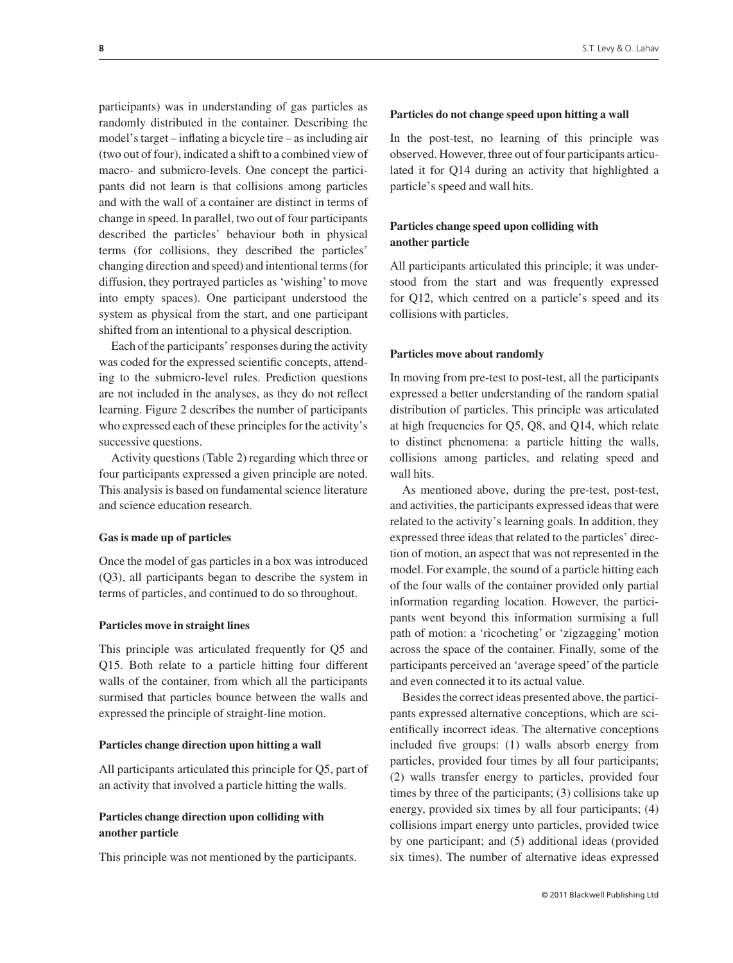participants) was in understanding of gas particles as randomly distributed in the container. Describing the model's target – inflating a bicycle tire – as including air (two out of four), indicated a shift to a combined view of macro- and submicro-levels. One concept the participants did not learn is that collisions among particles and with the wall of a container are distinct in terms of change in speed. In parallel, two out of four participants described the particles' behaviour both in physical terms (for collisions, they described the particles' changing direction and speed) and intentional terms (for diffusion, they portrayed particles as 'wishing' to move into empty spaces). One participant understood the system as physical from the start, and one participant shifted from an intentional to a physical description.

Each of the participants' responses during the activity was coded for the expressed scientific concepts, attending to the submicro-level rules. Prediction questions are not included in the analyses, as they do not reflect learning. Figure 2 describes the number of participants who expressed each of these principles for the activity's successive questions.

Activity questions (Table 2) regarding which three or four participants expressed a given principle are noted. This analysis is based on fundamental science literature and science education research.

# **Gas is made up of particles**

Once the model of gas particles in a box was introduced (Q3), all participants began to describe the system in terms of particles, and continued to do so throughout.

#### **Particles move in straight lines**

This principle was articulated frequently for Q5 and Q15. Both relate to a particle hitting four different walls of the container, from which all the participants surmised that particles bounce between the walls and expressed the principle of straight-line motion.

#### **Particles change direction upon hitting a wall**

All participants articulated this principle for Q5, part of an activity that involved a particle hitting the walls.

# **Particles change direction upon colliding with another particle**

This principle was not mentioned by the participants.

#### **Particles do not change speed upon hitting a wall**

In the post-test, no learning of this principle was observed. However, three out of four participants articulated it for Q14 during an activity that highlighted a particle's speed and wall hits.

# **Particles change speed upon colliding with another particle**

All participants articulated this principle; it was understood from the start and was frequently expressed for Q12, which centred on a particle's speed and its collisions with particles.

# **Particles move about randomly**

In moving from pre-test to post-test, all the participants expressed a better understanding of the random spatial distribution of particles. This principle was articulated at high frequencies for Q5, Q8, and Q14, which relate to distinct phenomena: a particle hitting the walls, collisions among particles, and relating speed and wall hits.

As mentioned above, during the pre-test, post-test, and activities, the participants expressed ideas that were related to the activity's learning goals. In addition, they expressed three ideas that related to the particles' direction of motion, an aspect that was not represented in the model. For example, the sound of a particle hitting each of the four walls of the container provided only partial information regarding location. However, the participants went beyond this information surmising a full path of motion: a 'ricocheting' or 'zigzagging' motion across the space of the container. Finally, some of the participants perceived an 'average speed' of the particle and even connected it to its actual value.

Besides the correct ideas presented above, the participants expressed alternative conceptions, which are scientifically incorrect ideas. The alternative conceptions included five groups: (1) walls absorb energy from particles, provided four times by all four participants; (2) walls transfer energy to particles, provided four times by three of the participants; (3) collisions take up energy, provided six times by all four participants; (4) collisions impart energy unto particles, provided twice by one participant; and (5) additional ideas (provided six times). The number of alternative ideas expressed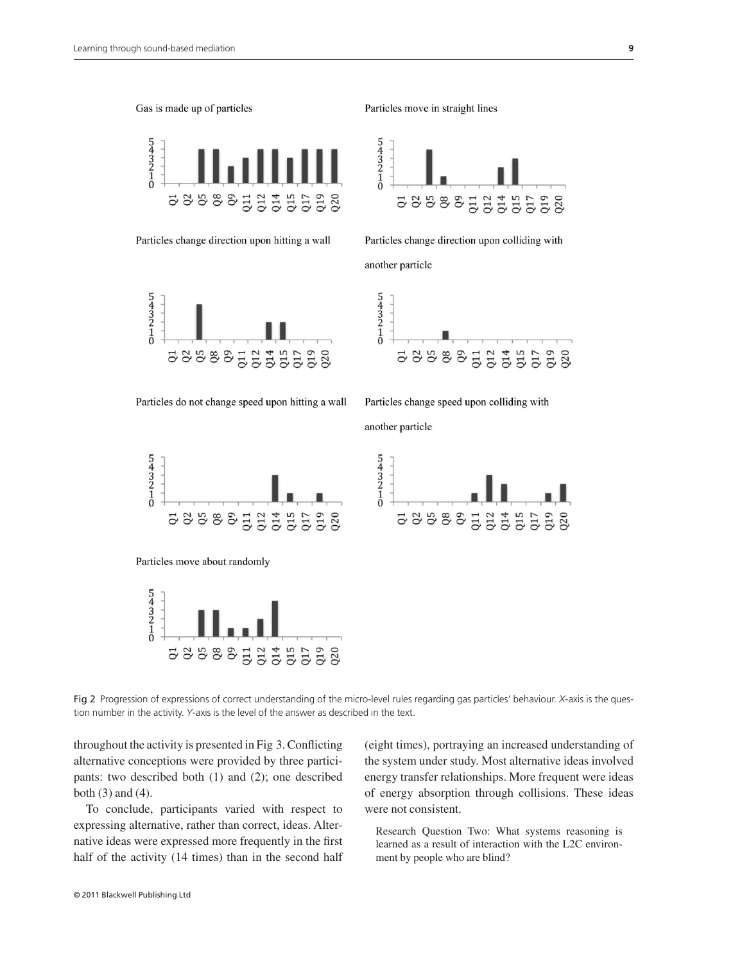



Particles change direction upon hitting a wall



Particles do not change speed upon hitting a wall





Particles change direction upon colliding with

another particle



Particles change speed upon colliding with

another particle





Particles move about randomly



Fig 2 Progression of expressions of correct understanding of the micro-level rules regarding gas particles' behaviour. *X*-axis is the question number in the activity. *Y*-axis is the level of the answer as described in the text.

throughout the activity is presented in Fig 3. Conflicting alternative conceptions were provided by three participants: two described both (1) and (2); one described both (3) and (4).

To conclude, participants varied with respect to expressing alternative, rather than correct, ideas. Alternative ideas were expressed more frequently in the first half of the activity (14 times) than in the second half (eight times), portraying an increased understanding of the system under study. Most alternative ideas involved energy transfer relationships. More frequent were ideas of energy absorption through collisions. These ideas were not consistent.

Research Question Two: What systems reasoning is learned as a result of interaction with the L2C environment by people who are blind?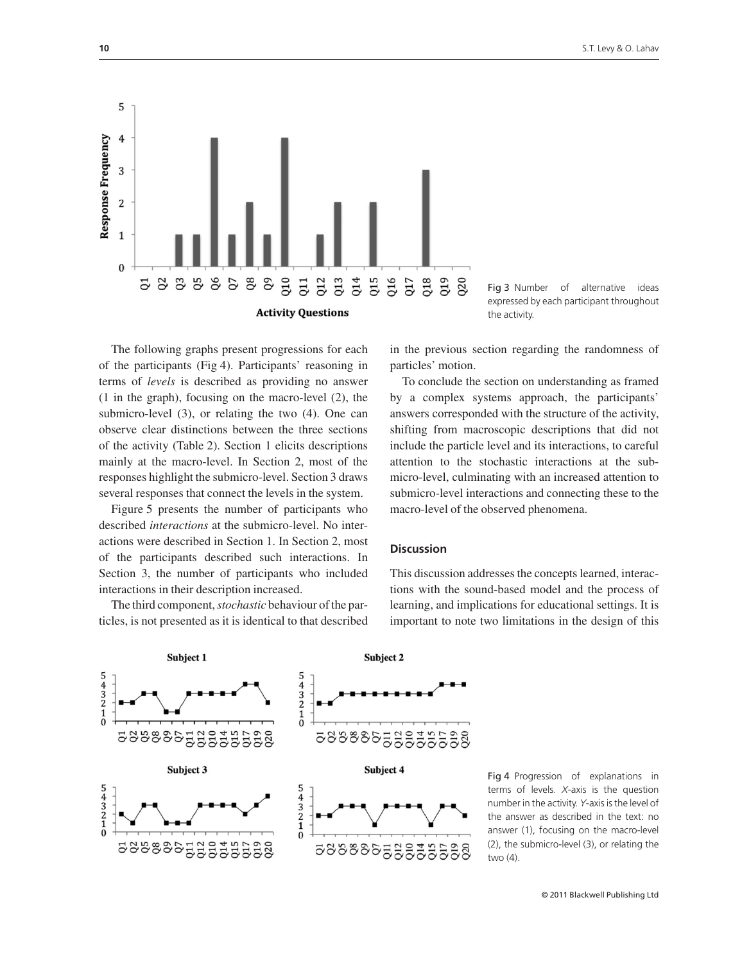

Fig 3 Number of alternative ideas expressed by each participant throughout the activity.

The following graphs present progressions for each of the participants (Fig 4). Participants' reasoning in terms of *levels* is described as providing no answer (1 in the graph), focusing on the macro-level (2), the submicro-level (3), or relating the two (4). One can observe clear distinctions between the three sections of the activity (Table 2). Section 1 elicits descriptions mainly at the macro-level. In Section 2, most of the responses highlight the submicro-level. Section 3 draws several responses that connect the levels in the system.

Figure 5 presents the number of participants who described *interactions* at the submicro-level. No interactions were described in Section 1. In Section 2, most of the participants described such interactions. In Section 3, the number of participants who included interactions in their description increased.

The third component,*stochastic* behaviour of the particles, is not presented as it is identical to that described in the previous section regarding the randomness of particles' motion.

To conclude the section on understanding as framed by a complex systems approach, the participants' answers corresponded with the structure of the activity, shifting from macroscopic descriptions that did not include the particle level and its interactions, to careful attention to the stochastic interactions at the submicro-level, culminating with an increased attention to submicro-level interactions and connecting these to the macro-level of the observed phenomena.

# **Discussion**

Subject 1 Subject 2 543210 5888855355555 588885533555  $\overline{20}$ Subject 3 Subject 4 543210 543210 5888855355558 5888855335538

This discussion addresses the concepts learned, interactions with the sound-based model and the process of learning, and implications for educational settings. It is important to note two limitations in the design of this

> Fig 4 Progression of explanations in terms of levels. *X*-axis is the question number in the activity. *Y*-axis is the level of the answer as described in the text: no answer (1), focusing on the macro-level (2), the submicro-level (3), or relating the two (4).

5432

 $\frac{1}{0}$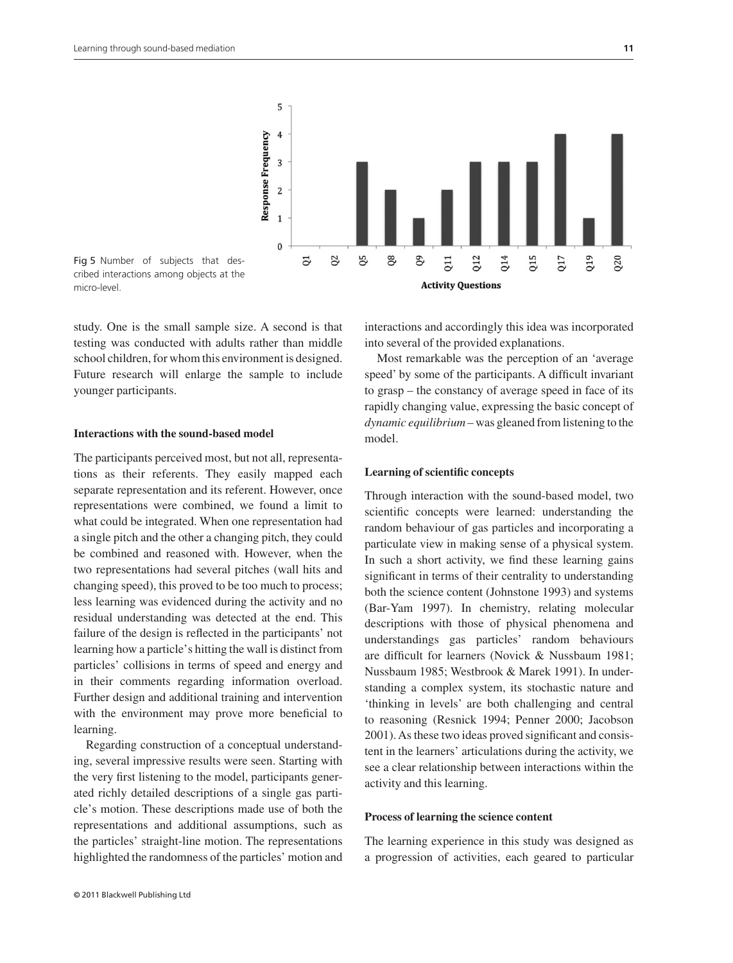

Fig 5 Number of subjects that described interactions among objects at the micro-level.

study. One is the small sample size. A second is that testing was conducted with adults rather than middle school children, for whom this environment is designed. Future research will enlarge the sample to include younger participants.

## **Interactions with the sound-based model**

The participants perceived most, but not all, representations as their referents. They easily mapped each separate representation and its referent. However, once representations were combined, we found a limit to what could be integrated. When one representation had a single pitch and the other a changing pitch, they could be combined and reasoned with. However, when the two representations had several pitches (wall hits and changing speed), this proved to be too much to process; less learning was evidenced during the activity and no residual understanding was detected at the end. This failure of the design is reflected in the participants' not learning how a particle's hitting the wall is distinct from particles' collisions in terms of speed and energy and in their comments regarding information overload. Further design and additional training and intervention with the environment may prove more beneficial to learning.

Regarding construction of a conceptual understanding, several impressive results were seen. Starting with the very first listening to the model, participants generated richly detailed descriptions of a single gas particle's motion. These descriptions made use of both the representations and additional assumptions, such as the particles' straight-line motion. The representations highlighted the randomness of the particles' motion and interactions and accordingly this idea was incorporated into several of the provided explanations.

Most remarkable was the perception of an 'average speed' by some of the participants. A difficult invariant to grasp – the constancy of average speed in face of its rapidly changing value, expressing the basic concept of *dynamic equilibrium* – was gleaned from listening to the model.

#### **Learning of scientific concepts**

Through interaction with the sound-based model, two scientific concepts were learned: understanding the random behaviour of gas particles and incorporating a particulate view in making sense of a physical system. In such a short activity, we find these learning gains significant in terms of their centrality to understanding both the science content (Johnstone 1993) and systems (Bar-Yam 1997). In chemistry, relating molecular descriptions with those of physical phenomena and understandings gas particles' random behaviours are difficult for learners (Novick & Nussbaum 1981; Nussbaum 1985; Westbrook & Marek 1991). In understanding a complex system, its stochastic nature and 'thinking in levels' are both challenging and central to reasoning (Resnick 1994; Penner 2000; Jacobson 2001). As these two ideas proved significant and consistent in the learners' articulations during the activity, we see a clear relationship between interactions within the activity and this learning.

#### **Process of learning the science content**

The learning experience in this study was designed as a progression of activities, each geared to particular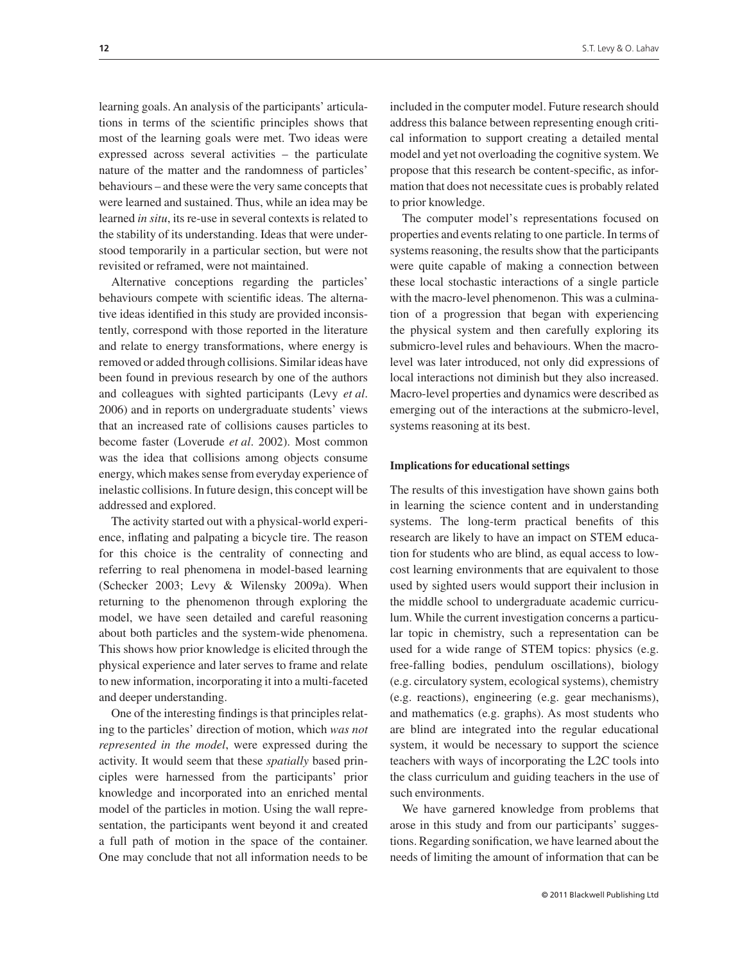learning goals. An analysis of the participants' articulations in terms of the scientific principles shows that most of the learning goals were met. Two ideas were expressed across several activities – the particulate nature of the matter and the randomness of particles' behaviours – and these were the very same concepts that were learned and sustained. Thus, while an idea may be learned *in situ*, its re-use in several contexts is related to the stability of its understanding. Ideas that were understood temporarily in a particular section, but were not revisited or reframed, were not maintained.

Alternative conceptions regarding the particles' behaviours compete with scientific ideas. The alternative ideas identified in this study are provided inconsistently, correspond with those reported in the literature and relate to energy transformations, where energy is removed or added through collisions. Similar ideas have been found in previous research by one of the authors and colleagues with sighted participants (Levy *et al*. 2006) and in reports on undergraduate students' views that an increased rate of collisions causes particles to become faster (Loverude *et al*. 2002). Most common was the idea that collisions among objects consume energy, which makes sense from everyday experience of inelastic collisions. In future design, this concept will be addressed and explored.

The activity started out with a physical-world experience, inflating and palpating a bicycle tire. The reason for this choice is the centrality of connecting and referring to real phenomena in model-based learning (Schecker 2003; Levy & Wilensky 2009a). When returning to the phenomenon through exploring the model, we have seen detailed and careful reasoning about both particles and the system-wide phenomena. This shows how prior knowledge is elicited through the physical experience and later serves to frame and relate to new information, incorporating it into a multi-faceted and deeper understanding.

One of the interesting findings is that principles relating to the particles' direction of motion, which *was not represented in the model*, were expressed during the activity. It would seem that these *spatially* based principles were harnessed from the participants' prior knowledge and incorporated into an enriched mental model of the particles in motion. Using the wall representation, the participants went beyond it and created a full path of motion in the space of the container. One may conclude that not all information needs to be

included in the computer model. Future research should address this balance between representing enough critical information to support creating a detailed mental model and yet not overloading the cognitive system. We propose that this research be content-specific, as information that does not necessitate cues is probably related to prior knowledge.

The computer model's representations focused on properties and events relating to one particle. In terms of systems reasoning, the results show that the participants were quite capable of making a connection between these local stochastic interactions of a single particle with the macro-level phenomenon. This was a culmination of a progression that began with experiencing the physical system and then carefully exploring its submicro-level rules and behaviours. When the macrolevel was later introduced, not only did expressions of local interactions not diminish but they also increased. Macro-level properties and dynamics were described as emerging out of the interactions at the submicro-level, systems reasoning at its best.

#### **Implications for educational settings**

The results of this investigation have shown gains both in learning the science content and in understanding systems. The long-term practical benefits of this research are likely to have an impact on STEM education for students who are blind, as equal access to lowcost learning environments that are equivalent to those used by sighted users would support their inclusion in the middle school to undergraduate academic curriculum. While the current investigation concerns a particular topic in chemistry, such a representation can be used for a wide range of STEM topics: physics (e.g. free-falling bodies, pendulum oscillations), biology (e.g. circulatory system, ecological systems), chemistry (e.g. reactions), engineering (e.g. gear mechanisms), and mathematics (e.g. graphs). As most students who are blind are integrated into the regular educational system, it would be necessary to support the science teachers with ways of incorporating the L2C tools into the class curriculum and guiding teachers in the use of such environments.

We have garnered knowledge from problems that arose in this study and from our participants' suggestions. Regarding sonification, we have learned about the needs of limiting the amount of information that can be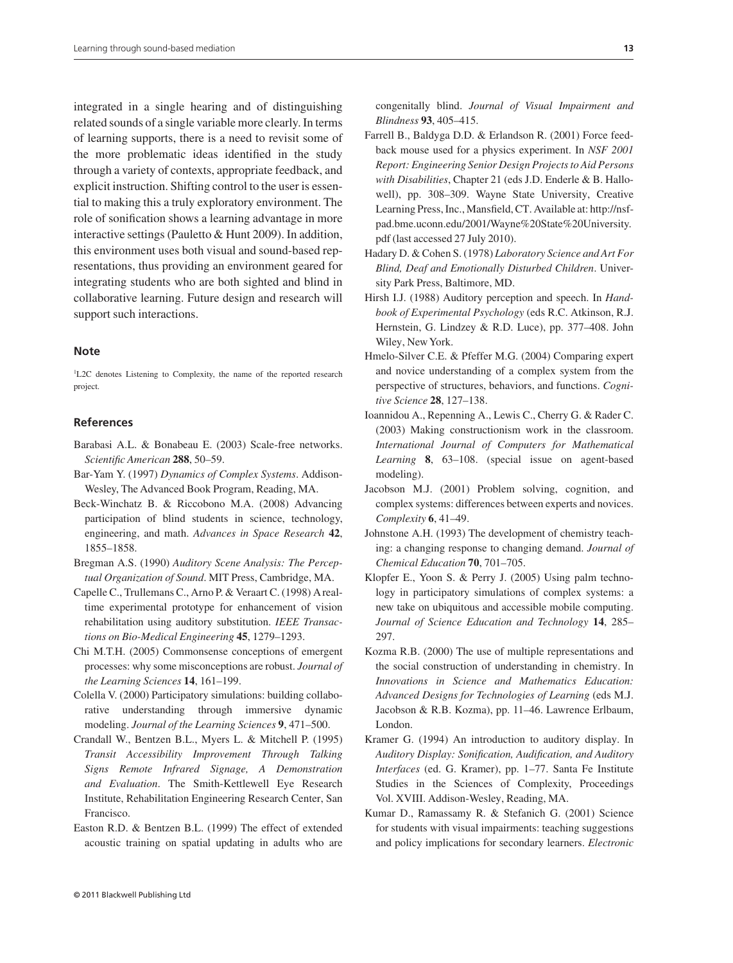integrated in a single hearing and of distinguishing related sounds of a single variable more clearly. In terms of learning supports, there is a need to revisit some of the more problematic ideas identified in the study through a variety of contexts, appropriate feedback, and explicit instruction. Shifting control to the user is essential to making this a truly exploratory environment. The role of sonification shows a learning advantage in more interactive settings (Pauletto & Hunt 2009). In addition, this environment uses both visual and sound-based representations, thus providing an environment geared for integrating students who are both sighted and blind in collaborative learning. Future design and research will support such interactions.

# **Note**

<sup>1</sup>L2C denotes Listening to Complexity, the name of the reported research project.

#### **References**

- Barabasi A.L. & Bonabeau E. (2003) Scale-free networks. *Scientific American* **288**, 50–59.
- Bar-Yam Y. (1997) *Dynamics of Complex Systems*. Addison-Wesley, The Advanced Book Program, Reading, MA.
- Beck-Winchatz B. & Riccobono M.A. (2008) Advancing participation of blind students in science, technology, engineering, and math. *Advances in Space Research* **42**, 1855–1858.
- Bregman A.S. (1990) *Auditory Scene Analysis: The Perceptual Organization of Sound*. MIT Press, Cambridge, MA.
- Capelle C., Trullemans C., Arno P. & Veraart C. (1998) A realtime experimental prototype for enhancement of vision rehabilitation using auditory substitution. *IEEE Transactions on Bio-Medical Engineering* **45**, 1279–1293.
- Chi M.T.H. (2005) Commonsense conceptions of emergent processes: why some misconceptions are robust. *Journal of the Learning Sciences* **14**, 161–199.
- Colella V. (2000) Participatory simulations: building collaborative understanding through immersive dynamic modeling. *Journal of the Learning Sciences* **9**, 471–500.
- Crandall W., Bentzen B.L., Myers L. & Mitchell P. (1995) *Transit Accessibility Improvement Through Talking Signs Remote Infrared Signage, A Demonstration and Evaluation*. The Smith-Kettlewell Eye Research Institute, Rehabilitation Engineering Research Center, San Francisco.
- Easton R.D. & Bentzen B.L. (1999) The effect of extended acoustic training on spatial updating in adults who are

congenitally blind. *Journal of Visual Impairment and Blindness* **93**, 405–415.

- Farrell B., Baldyga D.D. & Erlandson R. (2001) Force feedback mouse used for a physics experiment. In *NSF 2001 Report: Engineering Senior Design Projects to Aid Persons with Disabilities*, Chapter 21 (eds J.D. Enderle & B. Hallowell), pp. 308–309. Wayne State University, Creative Learning Press, Inc., Mansfield, CT. Available at: http://nsfpad.bme.uconn.edu/2001/Wayne%20State%20University. pdf (last accessed 27 July 2010).
- Hadary D. & Cohen S. (1978) *Laboratory Science and Art For Blind, Deaf and Emotionally Disturbed Children*. University Park Press, Baltimore, MD.
- Hirsh I.J. (1988) Auditory perception and speech. In *Handbook of Experimental Psychology* (eds R.C. Atkinson, R.J. Hernstein, G. Lindzey & R.D. Luce), pp. 377–408. John Wiley, New York.
- Hmelo-Silver C.E. & Pfeffer M.G. (2004) Comparing expert and novice understanding of a complex system from the perspective of structures, behaviors, and functions. *Cognitive Science* **28**, 127–138.
- Ioannidou A., Repenning A., Lewis C., Cherry G. & Rader C. (2003) Making constructionism work in the classroom. *International Journal of Computers for Mathematical Learning* **8**, 63–108. (special issue on agent-based modeling).
- Jacobson M.J. (2001) Problem solving, cognition, and complex systems: differences between experts and novices. *Complexity* **6**, 41–49.
- Johnstone A.H. (1993) The development of chemistry teaching: a changing response to changing demand. *Journal of Chemical Education* **70**, 701–705.
- Klopfer E., Yoon S. & Perry J. (2005) Using palm technology in participatory simulations of complex systems: a new take on ubiquitous and accessible mobile computing. *Journal of Science Education and Technology* **14**, 285– 297.
- Kozma R.B. (2000) The use of multiple representations and the social construction of understanding in chemistry. In *Innovations in Science and Mathematics Education: Advanced Designs for Technologies of Learning* (eds M.J. Jacobson & R.B. Kozma), pp. 11–46. Lawrence Erlbaum, London.
- Kramer G. (1994) An introduction to auditory display. In *Auditory Display: Sonification, Audification, and Auditory Interfaces* (ed. G. Kramer), pp. 1–77. Santa Fe Institute Studies in the Sciences of Complexity, Proceedings Vol. XVIII. Addison-Wesley, Reading, MA.
- Kumar D., Ramassamy R. & Stefanich G. (2001) Science for students with visual impairments: teaching suggestions and policy implications for secondary learners. *Electronic*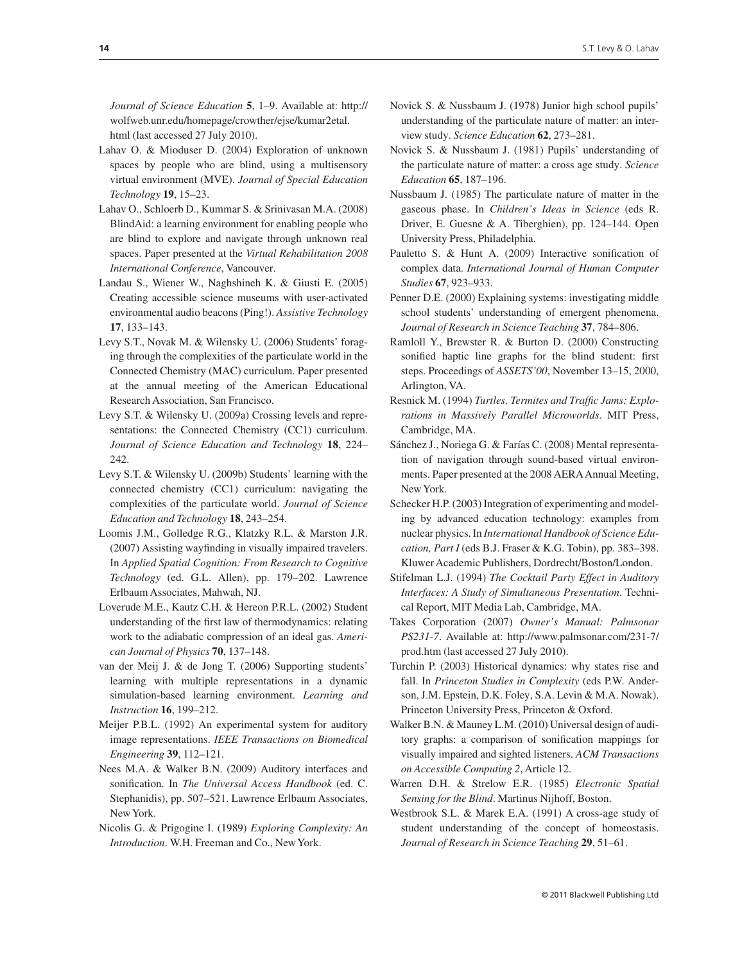*Journal of Science Education* **5**, 1–9. Available at: http:// wolfweb.unr.edu/homepage/crowther/ejse/kumar2etal. html (last accessed 27 July 2010).

- Lahav O. & Mioduser D. (2004) Exploration of unknown spaces by people who are blind, using a multisensory virtual environment (MVE). *Journal of Special Education Technology* **19**, 15–23.
- Lahav O., Schloerb D., Kummar S. & Srinivasan M.A. (2008) BlindAid: a learning environment for enabling people who are blind to explore and navigate through unknown real spaces. Paper presented at the *Virtual Rehabilitation 2008 International Conference*, Vancouver.
- Landau S., Wiener W., Naghshineh K. & Giusti E. (2005) Creating accessible science museums with user-activated environmental audio beacons (Ping!). *Assistive Technology* **17**, 133–143.
- Levy S.T., Novak M. & Wilensky U. (2006) Students' foraging through the complexities of the particulate world in the Connected Chemistry (MAC) curriculum. Paper presented at the annual meeting of the American Educational Research Association, San Francisco.
- Levy S.T. & Wilensky U. (2009a) Crossing levels and representations: the Connected Chemistry (CC1) curriculum. *Journal of Science Education and Technology* **18**, 224– 242.
- Levy S.T. & Wilensky U. (2009b) Students' learning with the connected chemistry (CC1) curriculum: navigating the complexities of the particulate world. *Journal of Science Education and Technology* **18**, 243–254.
- Loomis J.M., Golledge R.G., Klatzky R.L. & Marston J.R. (2007) Assisting wayfinding in visually impaired travelers. In *Applied Spatial Cognition: From Research to Cognitive Technology* (ed. G.L. Allen), pp. 179–202. Lawrence Erlbaum Associates, Mahwah, NJ.
- Loverude M.E., Kautz C.H. & Hereon P.R.L. (2002) Student understanding of the first law of thermodynamics: relating work to the adiabatic compression of an ideal gas. *American Journal of Physics* **70**, 137–148.
- van der Meij J. & de Jong T. (2006) Supporting students' learning with multiple representations in a dynamic simulation-based learning environment. *Learning and Instruction* **16**, 199–212.
- Meijer P.B.L. (1992) An experimental system for auditory image representations. *IEEE Transactions on Biomedical Engineering* **39**, 112–121.
- Nees M.A. & Walker B.N. (2009) Auditory interfaces and sonification. In *The Universal Access Handbook* (ed. C. Stephanidis), pp. 507–521. Lawrence Erlbaum Associates, New York.
- Nicolis G. & Prigogine I. (1989) *Exploring Complexity: An Introduction*. W.H. Freeman and Co., New York.
- Novick S. & Nussbaum J. (1978) Junior high school pupils' understanding of the particulate nature of matter: an interview study. *Science Education* **62**, 273–281.
- Novick S. & Nussbaum J. (1981) Pupils' understanding of the particulate nature of matter: a cross age study. *Science Education* **65**, 187–196.
- Nussbaum J. (1985) The particulate nature of matter in the gaseous phase. In *Children's Ideas in Science* (eds R. Driver, E. Guesne & A. Tiberghien), pp. 124–144. Open University Press, Philadelphia.
- Pauletto S. & Hunt A. (2009) Interactive sonification of complex data. *International Journal of Human Computer Studies* **67**, 923–933.
- Penner D.E. (2000) Explaining systems: investigating middle school students' understanding of emergent phenomena. *Journal of Research in Science Teaching* **37**, 784–806.
- Ramloll Y., Brewster R. & Burton D. (2000) Constructing sonified haptic line graphs for the blind student: first steps. Proceedings of *ASSETS'00*, November 13–15, 2000, Arlington, VA.
- Resnick M. (1994) *Turtles, Termites and Traffic Jams: Explorations in Massively Parallel Microworlds*. MIT Press, Cambridge, MA.
- Sánchez J., Noriega G. & Farías C. (2008) Mental representation of navigation through sound-based virtual environments. Paper presented at the 2008 AERAAnnual Meeting, New York.
- Schecker H.P. (2003) Integration of experimenting and modeling by advanced education technology: examples from nuclear physics. In *International Handbook of Science Education, Part I* (eds B.J. Fraser & K.G. Tobin), pp. 383–398. Kluwer Academic Publishers, Dordrecht/Boston/London.
- Stifelman L.J. (1994) *The Cocktail Party Effect in Auditory Interfaces: A Study of Simultaneous Presentation*. Technical Report, MIT Media Lab, Cambridge, MA.
- Takes Corporation (2007) *Owner's Manual: Palmsonar PS231-7*. Available at: http://www.palmsonar.com/231-7/ prod.htm (last accessed 27 July 2010).
- Turchin P. (2003) Historical dynamics: why states rise and fall. In *Princeton Studies in Complexity* (eds P.W. Anderson, J.M. Epstein, D.K. Foley, S.A. Levin & M.A. Nowak). Princeton University Press, Princeton & Oxford.
- Walker B.N. & Mauney L.M. (2010) Universal design of auditory graphs: a comparison of sonification mappings for visually impaired and sighted listeners. *ACM Transactions on Accessible Computing 2*, Article 12.
- Warren D.H. & Strelow E.R. (1985) *Electronic Spatial Sensing for the Blind*. Martinus Nijhoff, Boston.
- Westbrook S.L. & Marek E.A. (1991) A cross-age study of student understanding of the concept of homeostasis. *Journal of Research in Science Teaching* **29**, 51–61.